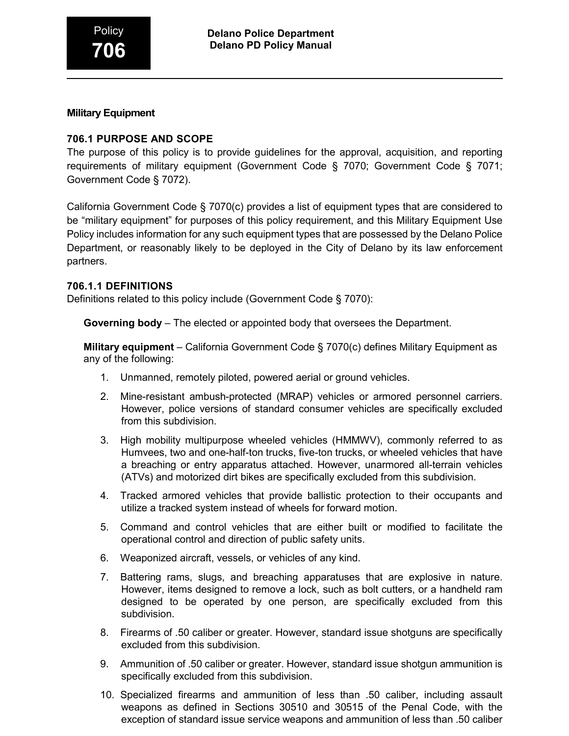## **Military Equipment**

# **706.1 PURPOSE AND SCOPE**

The purpose of this policy is to provide guidelines for the approval, acquisition, and reporting requirements of military equipment (Government Code § 7070; Government Code § 7071; Government Code § 7072).

California Government Code § 7070(c) provides a list of equipment types that are considered to be "military equipment" for purposes of this policy requirement, and this Military Equipment Use Policy includes information for any such equipment types that are possessed by the Delano Police Department, or reasonably likely to be deployed in the City of Delano by its law enforcement partners.

### **706.1.1 DEFINITIONS**

Definitions related to this policy include (Government Code § 7070):

**Governing body** – The elected or appointed body that oversees the Department.

**Military equipment** – California Government Code § 7070(c) defines Military Equipment as any of the following:

- 1. Unmanned, remotely piloted, powered aerial or ground vehicles.
- 2. Mine-resistant ambush-protected (MRAP) vehicles or armored personnel carriers. However, police versions of standard consumer vehicles are specifically excluded from this subdivision.
- 3. High mobility multipurpose wheeled vehicles (HMMWV), commonly referred to as Humvees, two and one-half-ton trucks, five-ton trucks, or wheeled vehicles that have a breaching or entry apparatus attached. However, unarmored all-terrain vehicles (ATVs) and motorized dirt bikes are specifically excluded from this subdivision.
- 4. Tracked armored vehicles that provide ballistic protection to their occupants and utilize a tracked system instead of wheels for forward motion.
- 5. Command and control vehicles that are either built or modified to facilitate the operational control and direction of public safety units.
- 6. Weaponized aircraft, vessels, or vehicles of any kind.
- 7. Battering rams, slugs, and breaching apparatuses that are explosive in nature. However, items designed to remove a lock, such as bolt cutters, or a handheld ram designed to be operated by one person, are specifically excluded from this subdivision.
- 8. Firearms of .50 caliber or greater. However, standard issue shotguns are specifically excluded from this subdivision.
- 9. Ammunition of .50 caliber or greater. However, standard issue shotgun ammunition is specifically excluded from this subdivision.
- 10. Specialized firearms and ammunition of less than .50 caliber, including assault weapons as defined in Sections 30510 and 30515 of the Penal Code, with the exception of standard issue service weapons and ammunition of less than .50 caliber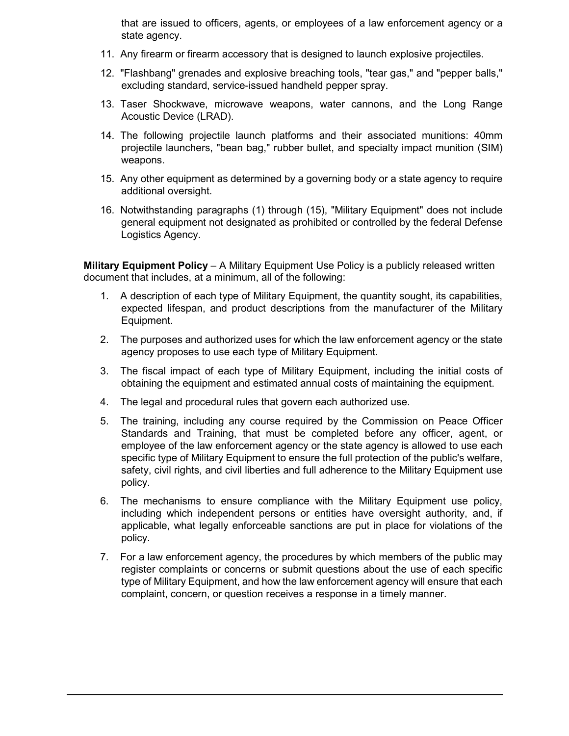that are issued to officers, agents, or employees of a law enforcement agency or a state agency.

- 11. Any firearm or firearm accessory that is designed to launch explosive projectiles.
- 12. "Flashbang" grenades and explosive breaching tools, "tear gas," and "pepper balls," excluding standard, service-issued handheld pepper spray.
- 13. Taser Shockwave, microwave weapons, water cannons, and the Long Range Acoustic Device (LRAD).
- 14. The following projectile launch platforms and their associated munitions: 40mm projectile launchers, "bean bag," rubber bullet, and specialty impact munition (SIM) weapons.
- 15. Any other equipment as determined by a governing body or a state agency to require additional oversight.
- 16. Notwithstanding paragraphs (1) through (15), "Military Equipment" does not include general equipment not designated as prohibited or controlled by the federal Defense Logistics Agency.

**Military Equipment Policy** – A Military Equipment Use Policy is a publicly released written document that includes, at a minimum, all of the following:

- 1. A description of each type of Military Equipment, the quantity sought, its capabilities, expected lifespan, and product descriptions from the manufacturer of the Military Equipment.
- 2. The purposes and authorized uses for which the law enforcement agency or the state agency proposes to use each type of Military Equipment.
- 3. The fiscal impact of each type of Military Equipment, including the initial costs of obtaining the equipment and estimated annual costs of maintaining the equipment.
- 4. The legal and procedural rules that govern each authorized use.
- 5. The training, including any course required by the Commission on Peace Officer Standards and Training, that must be completed before any officer, agent, or employee of the law enforcement agency or the state agency is allowed to use each specific type of Military Equipment to ensure the full protection of the public's welfare, safety, civil rights, and civil liberties and full adherence to the Military Equipment use policy.
- 6. The mechanisms to ensure compliance with the Military Equipment use policy, including which independent persons or entities have oversight authority, and, if applicable, what legally enforceable sanctions are put in place for violations of the policy.
- 7. For a law enforcement agency, the procedures by which members of the public may register complaints or concerns or submit questions about the use of each specific type of Military Equipment, and how the law enforcement agency will ensure that each complaint, concern, or question receives a response in a timely manner.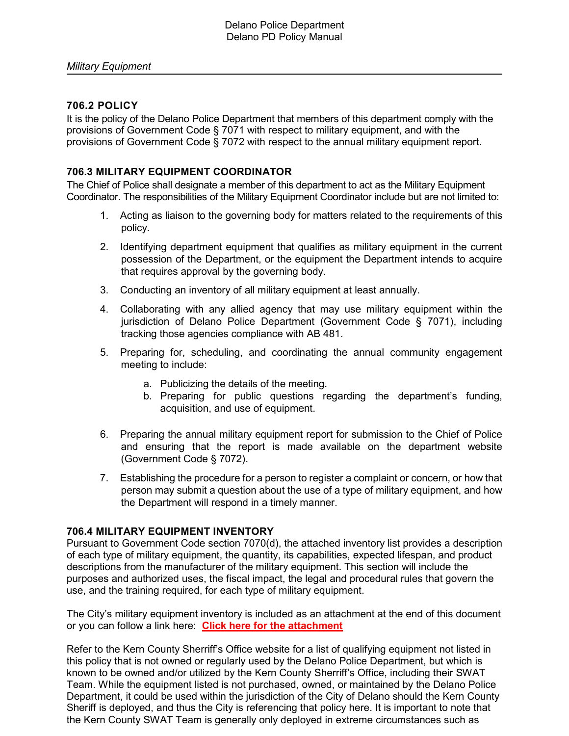# **706.2 POLICY**

It is the policy of the Delano Police Department that members of this department comply with the provisions of Government Code § 7071 with respect to military equipment, and with the provisions of Government Code § 7072 with respect to the annual military equipment report.

# **706.3 MILITARY EQUIPMENT COORDINATOR**

The Chief of Police shall designate a member of this department to act as the Military Equipment Coordinator. The responsibilities of the Military Equipment Coordinator include but are not limited to:

- 1. Acting as liaison to the governing body for matters related to the requirements of this policy.
- 2. Identifying department equipment that qualifies as military equipment in the current possession of the Department, or the equipment the Department intends to acquire that requires approval by the governing body.
- 3. Conducting an inventory of all military equipment at least annually.
- 4. Collaborating with any allied agency that may use military equipment within the jurisdiction of Delano Police Department (Government Code § 7071), including tracking those agencies compliance with AB 481.
- 5. Preparing for, scheduling, and coordinating the annual community engagement meeting to include:
	- a. Publicizing the details of the meeting.
	- b. Preparing for public questions regarding the department's funding, acquisition, and use of equipment.
- 6. Preparing the annual military equipment report for submission to the Chief of Police and ensuring that the report is made available on the department website (Government Code § 7072).
- 7. Establishing the procedure for a person to register a complaint or concern, or how that person may submit a question about the use of a type of military equipment, and how the Department will respond in a timely manner.

### **706.4 MILITARY EQUIPMENT INVENTORY**

Pursuant to Government Code section 7070(d), the attached inventory list provides a description of each type of military equipment, the quantity, its capabilities, expected lifespan, and product descriptions from the manufacturer of the military equipment. This section will include the purposes and authorized uses, the fiscal impact, the legal and procedural rules that govern the use, and the training required, for each type of military equipment.

The City's military equipment inventory is included as an attachment at the end of this document or you can follow a link here: **[Click here for the attachment](#page-6-0)**

Refer to the Kern County Sherriff's Office website for a list of qualifying equipment not listed in this policy that is not owned or regularly used by the Delano Police Department, but which is known to be owned and/or utilized by the Kern County Sherriff's Office, including their SWAT Team. While the equipment listed is not purchased, owned, or maintained by the Delano Police Department, it could be used within the jurisdiction of the City of Delano should the Kern County Sheriff is deployed, and thus the City is referencing that policy here. It is important to note that the Kern County SWAT Team is generally only deployed in extreme circumstances such as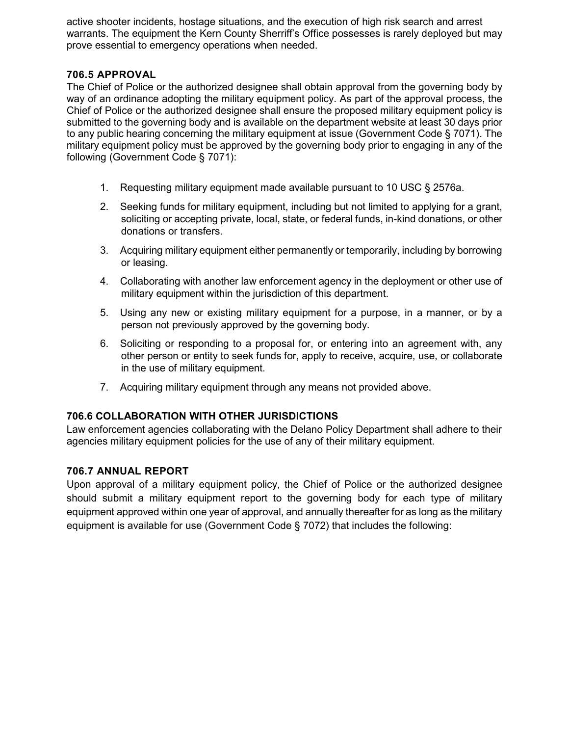active shooter incidents, hostage situations, and the execution of high risk search and arrest warrants. The equipment the Kern County Sherriff's Office possesses is rarely deployed but may prove essential to emergency operations when needed.

# **706.5 APPROVAL**

The Chief of Police or the authorized designee shall obtain approval from the governing body by way of an ordinance adopting the military equipment policy. As part of the approval process, the Chief of Police or the authorized designee shall ensure the proposed military equipment policy is submitted to the governing body and is available on the department website at least 30 days prior to any public hearing concerning the military equipment at issue (Government Code § 7071). The military equipment policy must be approved by the governing body prior to engaging in any of the following (Government Code § 7071):

- 1. Requesting military equipment made available pursuant to 10 USC § 2576a.
- 2. Seeking funds for military equipment, including but not limited to applying for a grant, soliciting or accepting private, local, state, or federal funds, in-kind donations, or other donations or transfers.
- 3. Acquiring military equipment either permanently or temporarily, including by borrowing or leasing.
- 4. Collaborating with another law enforcement agency in the deployment or other use of military equipment within the jurisdiction of this department.
- 5. Using any new or existing military equipment for a purpose, in a manner, or by a person not previously approved by the governing body.
- 6. Soliciting or responding to a proposal for, or entering into an agreement with, any other person or entity to seek funds for, apply to receive, acquire, use, or collaborate in the use of military equipment.
- 7. Acquiring military equipment through any means not provided above.

# **706.6 COLLABORATION WITH OTHER JURISDICTIONS**

Law enforcement agencies collaborating with the Delano Policy Department shall adhere to their agencies military equipment policies for the use of any of their military equipment.

### **706.7 ANNUAL REPORT**

Upon approval of a military equipment policy, the Chief of Police or the authorized designee should submit a military equipment report to the governing body for each type of military equipment approved within one year of approval, and annually thereafter for as long as the military equipment is available for use (Government Code § 7072) that includes the following: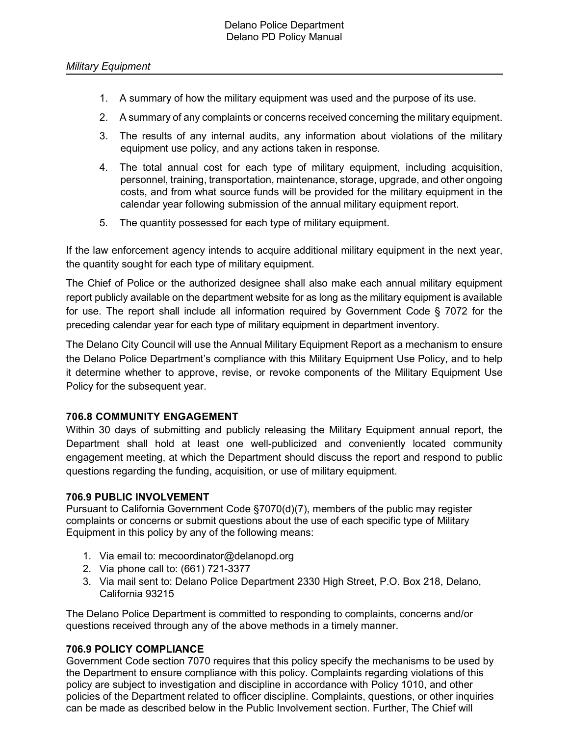- 1. A summary of how the military equipment was used and the purpose of its use.
- 2. A summary of any complaints or concerns received concerning the military equipment.
- 3. The results of any internal audits, any information about violations of the military equipment use policy, and any actions taken in response.
- 4. The total annual cost for each type of military equipment, including acquisition, personnel, training, transportation, maintenance, storage, upgrade, and other ongoing costs, and from what source funds will be provided for the military equipment in the calendar year following submission of the annual military equipment report.
- 5. The quantity possessed for each type of military equipment.

If the law enforcement agency intends to acquire additional military equipment in the next year, the quantity sought for each type of military equipment.

The Chief of Police or the authorized designee shall also make each annual military equipment report publicly available on the department website for as long as the military equipment is available for use. The report shall include all information required by Government Code § 7072 for the preceding calendar year for each type of military equipment in department inventory.

The Delano City Council will use the Annual Military Equipment Report as a mechanism to ensure the Delano Police Department's compliance with this Military Equipment Use Policy, and to help it determine whether to approve, revise, or revoke components of the Military Equipment Use Policy for the subsequent year.

### **706.8 COMMUNITY ENGAGEMENT**

Within 30 days of submitting and publicly releasing the Military Equipment annual report, the Department shall hold at least one well-publicized and conveniently located community engagement meeting, at which the Department should discuss the report and respond to public questions regarding the funding, acquisition, or use of military equipment.

#### **706.9 PUBLIC INVOLVEMENT**

Pursuant to California Government Code §7070(d)(7), members of the public may register complaints or concerns or submit questions about the use of each specific type of Military Equipment in this policy by any of the following means:

- 1. Via email to: mecoordinator@delanopd.org
- 2. Via phone call to: (661) 721-3377
- 3. Via mail sent to: Delano Police Department 2330 High Street, P.O. Box 218, Delano, California 93215

The Delano Police Department is committed to responding to complaints, concerns and/or questions received through any of the above methods in a timely manner.

### **706.9 POLICY COMPLIANCE**

Government Code section 7070 requires that this policy specify the mechanisms to be used by the Department to ensure compliance with this policy. Complaints regarding violations of this policy are subject to investigation and discipline in accordance with Policy 1010, and other policies of the Department related to officer discipline. Complaints, questions, or other inquiries can be made as described below in the Public Involvement section. Further, The Chief will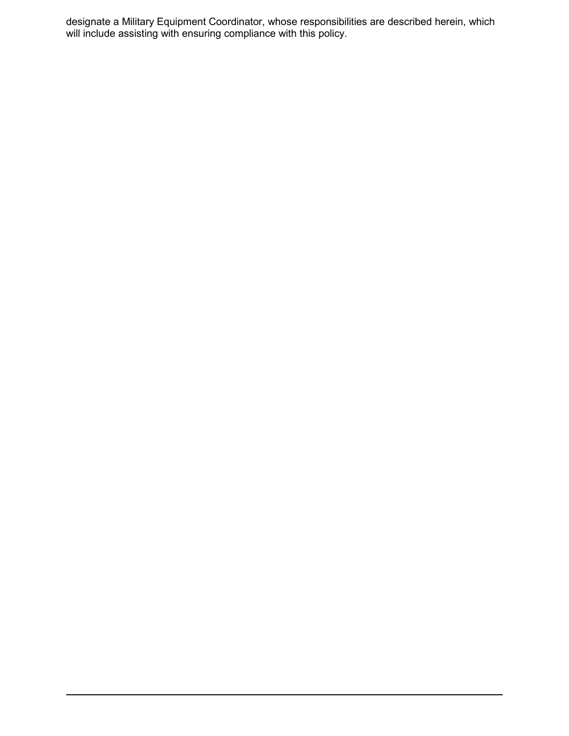designate a Military Equipment Coordinator, whose responsibilities are described herein, which will include assisting with ensuring compliance with this policy.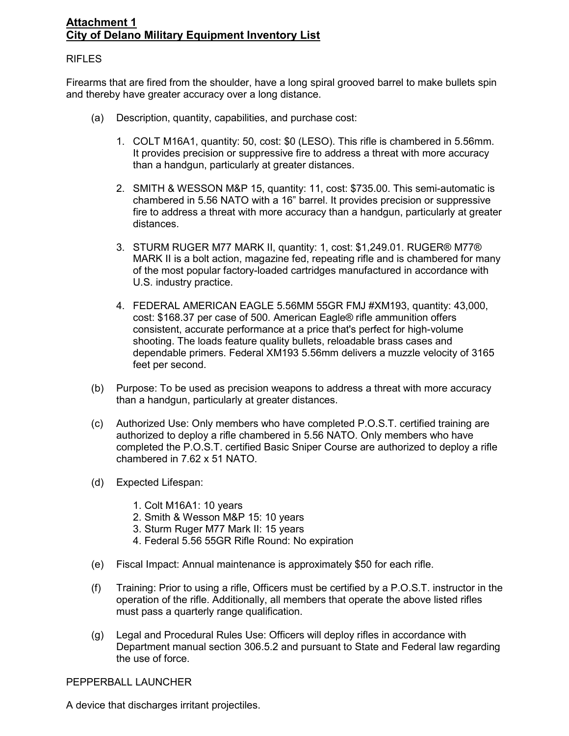# <span id="page-6-0"></span>**Attachment 1 City of Delano Military Equipment Inventory List**

### RIFLES

Firearms that are fired from the shoulder, have a long spiral grooved barrel to make bullets spin and thereby have greater accuracy over a long distance.

- (a) Description, quantity, capabilities, and purchase cost:
	- 1. COLT M16A1, quantity: 50, cost: \$0 (LESO). This rifle is chambered in 5.56mm. It provides precision or suppressive fire to address a threat with more accuracy than a handgun, particularly at greater distances.
	- 2. SMITH & WESSON M&P 15, quantity: 11, cost: \$735.00. This semi-automatic is chambered in 5.56 NATO with a 16" barrel. It provides precision or suppressive fire to address a threat with more accuracy than a handgun, particularly at greater distances.
	- 3. STURM RUGER M77 MARK II, quantity: 1, cost: \$1,249.01. RUGER® M77® MARK II is a bolt action, magazine fed, repeating rifle and is chambered for many of the most popular factory-loaded cartridges manufactured in accordance with U.S. industry practice.
	- 4. FEDERAL AMERICAN EAGLE 5.56MM 55GR FMJ #XM193, quantity: 43,000, cost: \$168.37 per case of 500. American Eagle® rifle ammunition offers consistent, accurate performance at a price that's perfect for high-volume shooting. The loads feature quality bullets, reloadable brass cases and dependable primers. Federal XM193 5.56mm delivers a muzzle velocity of 3165 feet per second.
- (b) Purpose: To be used as precision weapons to address a threat with more accuracy than a handgun, particularly at greater distances.
- (c) Authorized Use: Only members who have completed P.O.S.T. certified training are authorized to deploy a rifle chambered in 5.56 NATO. Only members who have completed the P.O.S.T. certified Basic Sniper Course are authorized to deploy a rifle chambered in 7.62 x 51 NATO.
- (d) Expected Lifespan:
	- 1. Colt M16A1: 10 years
	- 2. Smith & Wesson M&P 15: 10 years
	- 3. Sturm Ruger M77 Mark II: 15 years
	- 4. Federal 5.56 55GR Rifle Round: No expiration
- (e) Fiscal Impact: Annual maintenance is approximately \$50 for each rifle.
- (f) Training: Prior to using a rifle, Officers must be certified by a P.O.S.T. instructor in the operation of the rifle. Additionally, all members that operate the above listed rifles must pass a quarterly range qualification.
- (g) Legal and Procedural Rules Use: Officers will deploy rifles in accordance with Department manual section 306.5.2 and pursuant to State and Federal law regarding the use of force.

### PEPPERBALL LAUNCHER

A device that discharges irritant projectiles.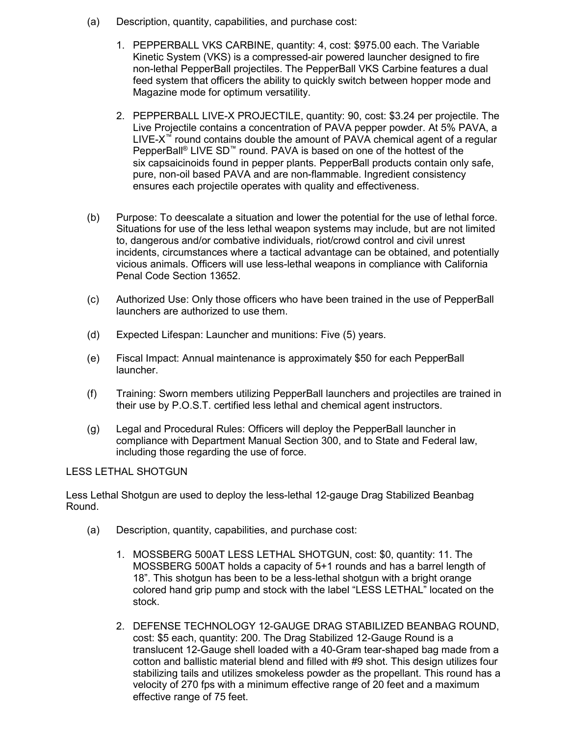- (a) Description, quantity, capabilities, and purchase cost:
	- 1. PEPPERBALL VKS CARBINE, quantity: 4, cost: \$975.00 each. The Variable Kinetic System (VKS) is a compressed-air powered launcher designed to fire non-lethal PepperBall projectiles. The PepperBall VKS Carbine features a dual feed system that officers the ability to quickly switch between hopper mode and Magazine mode for optimum versatility.
	- 2. PEPPERBALL LIVE-X PROJECTILE, quantity: 90, cost: \$3.24 per projectile. The Live Projectile contains a concentration of PAVA pepper powder. At 5% PAVA, a LIVE-X™ round contains double the amount of PAVA chemical agent of a regular PepperBall<sup>®</sup> LIVE SD<sup>™</sup> round. PAVA is based on one of the hottest of the six capsaicinoids found in pepper plants. PepperBall products contain only safe, pure, non-oil based PAVA and are non-flammable. Ingredient consistency ensures each projectile operates with quality and effectiveness.
- (b) Purpose: To deescalate a situation and lower the potential for the use of lethal force. Situations for use of the less lethal weapon systems may include, but are not limited to, dangerous and/or combative individuals, riot/crowd control and civil unrest incidents, circumstances where a tactical advantage can be obtained, and potentially vicious animals. Officers will use less-lethal weapons in compliance with California Penal Code Section 13652.
- (c) Authorized Use: Only those officers who have been trained in the use of PepperBall launchers are authorized to use them.
- (d) Expected Lifespan: Launcher and munitions: Five (5) years.
- (e) Fiscal Impact: Annual maintenance is approximately \$50 for each PepperBall launcher.
- (f) Training: Sworn members utilizing PepperBall launchers and projectiles are trained in their use by P.O.S.T. certified less lethal and chemical agent instructors.
- (g) Legal and Procedural Rules: Officers will deploy the PepperBall launcher in compliance with Department Manual Section 300, and to State and Federal law, including those regarding the use of force.

#### LESS LETHAL SHOTGUN

Less Lethal Shotgun are used to deploy the less-lethal 12-gauge Drag Stabilized Beanbag Round.

- (a) Description, quantity, capabilities, and purchase cost:
	- 1. MOSSBERG 500AT LESS LETHAL SHOTGUN, cost: \$0, quantity: 11. The MOSSBERG 500AT holds a capacity of 5+1 rounds and has a barrel length of 18". This shotgun has been to be a less-lethal shotgun with a bright orange colored hand grip pump and stock with the label "LESS LETHAL" located on the stock.
	- 2. DEFENSE TECHNOLOGY 12-GAUGE DRAG STABILIZED BEANBAG ROUND, cost: \$5 each, quantity: 200. The Drag Stabilized 12-Gauge Round is a translucent 12-Gauge shell loaded with a 40-Gram tear-shaped bag made from a cotton and ballistic material blend and filled with #9 shot. This design utilizes four stabilizing tails and utilizes smokeless powder as the propellant. This round has a velocity of 270 fps with a minimum effective range of 20 feet and a maximum effective range of 75 feet.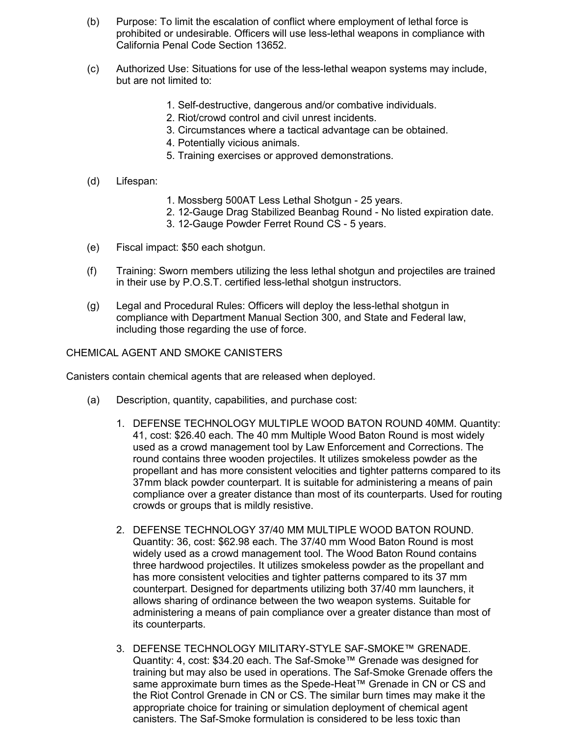- (b) Purpose: To limit the escalation of conflict where employment of lethal force is prohibited or undesirable. Officers will use less-lethal weapons in compliance with California Penal Code Section 13652.
- (c) Authorized Use: Situations for use of the less-lethal weapon systems may include, but are not limited to:
	- 1. Self-destructive, dangerous and/or combative individuals.
	- 2. Riot/crowd control and civil unrest incidents.
	- 3. Circumstances where a tactical advantage can be obtained.
	- 4. Potentially vicious animals.
	- 5. Training exercises or approved demonstrations.
- (d) Lifespan:
- 1. Mossberg 500AT Less Lethal Shotgun 25 years.
- 2. 12-Gauge Drag Stabilized Beanbag Round No listed expiration date.
- 3. 12-Gauge Powder Ferret Round CS 5 years.
- (e) Fiscal impact: \$50 each shotgun.
- (f) Training: Sworn members utilizing the less lethal shotgun and projectiles are trained in their use by P.O.S.T. certified less-lethal shotgun instructors.
- (g) Legal and Procedural Rules: Officers will deploy the less-lethal shotgun in compliance with Department Manual Section 300, and State and Federal law, including those regarding the use of force.

#### CHEMICAL AGENT AND SMOKE CANISTERS

Canisters contain chemical agents that are released when deployed.

- (a) Description, quantity, capabilities, and purchase cost:
	- 1. DEFENSE TECHNOLOGY MULTIPLE WOOD BATON ROUND 40MM. Quantity: 41, cost: \$26.40 each. The 40 mm Multiple Wood Baton Round is most widely used as a crowd management tool by Law Enforcement and Corrections. The round contains three wooden projectiles. It utilizes smokeless powder as the propellant and has more consistent velocities and tighter patterns compared to its 37mm black powder counterpart. It is suitable for administering a means of pain compliance over a greater distance than most of its counterparts. Used for routing crowds or groups that is mildly resistive.
	- 2. DEFENSE TECHNOLOGY 37/40 MM MULTIPLE WOOD BATON ROUND. Quantity: 36, cost: \$62.98 each. The 37/40 mm Wood Baton Round is most widely used as a crowd management tool. The Wood Baton Round contains three hardwood projectiles. It utilizes smokeless powder as the propellant and has more consistent velocities and tighter patterns compared to its 37 mm counterpart. Designed for departments utilizing both 37/40 mm launchers, it allows sharing of ordinance between the two weapon systems. Suitable for administering a means of pain compliance over a greater distance than most of its counterparts.
	- 3. DEFENSE TECHNOLOGY MILITARY-STYLE SAF-SMOKE™ GRENADE. Quantity: 4, cost: \$34.20 each. The Saf-Smoke™ Grenade was designed for training but may also be used in operations. The Saf-Smoke Grenade offers the same approximate burn times as the Spede-Heat™ Grenade in CN or CS and the Riot Control Grenade in CN or CS. The similar burn times may make it the appropriate choice for training or simulation deployment of chemical agent canisters. The Saf-Smoke formulation is considered to be less toxic than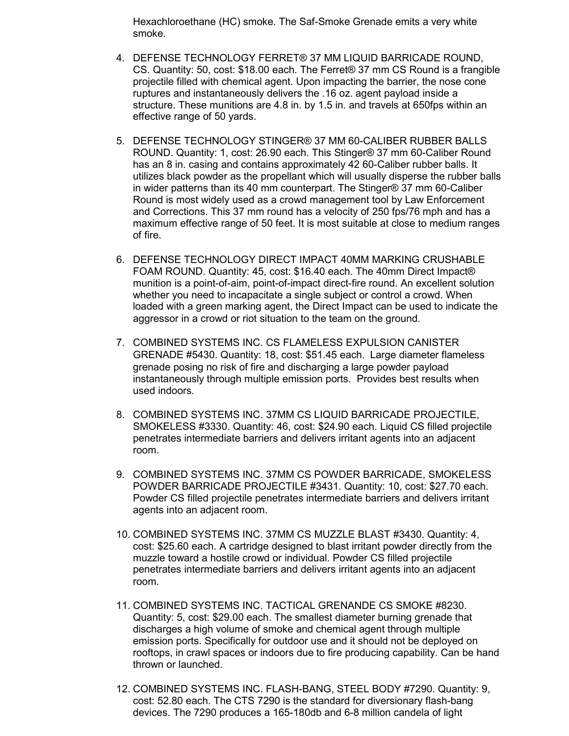Hexachloroethane (HC) smoke. The Saf-Smoke Grenade emits a very white smoke.

- 4. DEFENSE TECHNOLOGY FERRET® 37 MM LIQUID BARRICADE ROUND, CS. Quantity: 50, cost: \$18.00 each. The Ferret® 37 mm CS Round is a frangible projectile filled with chemical agent. Upon impacting the barrier, the nose cone ruptures and instantaneously delivers the .16 oz. agent payload inside a structure. These munitions are 4.8 in. by 1.5 in. and travels at 650fps within an effective range of 50 yards.
- 5. DEFENSE TECHNOLOGY STINGER® 37 MM 60-CALIBER RUBBER BALLS ROUND. Quantity: 1, cost: 26.90 each. This Stinger® 37 mm 60-Caliber Round has an 8 in. casing and contains approximately 42 60-Caliber rubber balls. It utilizes black powder as the propellant which will usually disperse the rubber balls in wider patterns than its 40 mm counterpart. The Stinger® 37 mm 60-Caliber Round is most widely used as a crowd management tool by Law Enforcement and Corrections. This 37 mm round has a velocity of 250 fps/76 mph and has a maximum effective range of 50 feet. It is most suitable at close to medium ranges of fire.
- 6. DEFENSE TECHNOLOGY DIRECT IMPACT 40MM MARKING CRUSHABLE FOAM ROUND. Quantity: 45, cost: \$16.40 each. The 40mm Direct Impact® munition is a point-of-aim, point-of-impact direct-fire round. An excellent solution whether you need to incapacitate a single subject or control a crowd. When loaded with a green marking agent, the Direct Impact can be used to indicate the aggressor in a crowd or riot situation to the team on the ground.
- 7. COMBINED SYSTEMS INC. CS FLAMELESS EXPULSION CANISTER GRENADE #5430. Quantity: 18, cost: \$51.45 each. Large diameter flameless grenade posing no risk of fire and discharging a large powder payload instantaneously through multiple emission ports. Provides best results when used indoors.
- 8. COMBINED SYSTEMS INC. 37MM CS LIQUID BARRICADE PROJECTILE, SMOKELESS #3330. Quantity: 46, cost: \$24.90 each. Liquid CS filled projectile penetrates intermediate barriers and delivers irritant agents into an adjacent room.
- 9. COMBINED SYSTEMS INC. 37MM CS POWDER BARRICADE, SMOKELESS POWDER BARRICADE PROJECTILE #3431. Quantity: 10, cost: \$27.70 each. Powder CS filled projectile penetrates intermediate barriers and delivers irritant agents into an adjacent room.
- 10. COMBINED SYSTEMS INC. 37MM CS MUZZLE BLAST #3430. Quantity: 4, cost: \$25.60 each. A cartridge designed to blast irritant powder directly from the muzzle toward a hostile crowd or individual. Powder CS filled projectile penetrates intermediate barriers and delivers irritant agents into an adjacent room.
- 11. COMBINED SYSTEMS INC. TACTICAL GRENANDE CS SMOKE #8230. Quantity: 5, cost: \$29.00 each. The smallest diameter burning grenade that discharges a high volume of smoke and chemical agent through multiple emission ports. Specifically for outdoor use and it should not be deployed on rooftops, in crawl spaces or indoors due to fire producing capability. Can be hand thrown or launched.
- 12. COMBINED SYSTEMS INC. FLASH-BANG, STEEL BODY #7290. Quantity: 9, cost: 52.80 each. The CTS 7290 is the standard for diversionary flash-bang devices. The 7290 produces a 165-180db and 6-8 million candela of light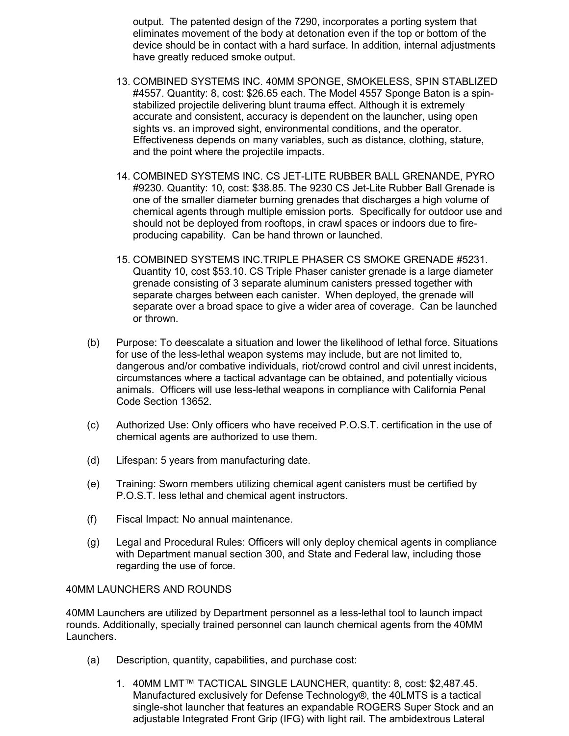output. The patented design of the 7290, incorporates a porting system that eliminates movement of the body at detonation even if the top or bottom of the device should be in contact with a hard surface. In addition, internal adjustments have greatly reduced smoke output.

- 13. COMBINED SYSTEMS INC. 40MM SPONGE, SMOKELESS, SPIN STABLIZED #4557. Quantity: 8, cost: \$26.65 each. The Model 4557 Sponge Baton is a spinstabilized projectile delivering blunt trauma effect. Although it is extremely accurate and consistent, accuracy is dependent on the launcher, using open sights vs. an improved sight, environmental conditions, and the operator. Effectiveness depends on many variables, such as distance, clothing, stature, and the point where the projectile impacts.
- 14. COMBINED SYSTEMS INC. CS JET-LITE RUBBER BALL GRENANDE, PYRO #9230. Quantity: 10, cost: \$38.85. The 9230 CS Jet-Lite Rubber Ball Grenade is one of the smaller diameter burning grenades that discharges a high volume of chemical agents through multiple emission ports. Specifically for outdoor use and should not be deployed from rooftops, in crawl spaces or indoors due to fireproducing capability. Can be hand thrown or launched.
- 15. COMBINED SYSTEMS INC.TRIPLE PHASER CS SMOKE GRENADE #5231. Quantity 10, cost \$53.10. CS Triple Phaser canister grenade is a large diameter grenade consisting of 3 separate aluminum canisters pressed together with separate charges between each canister. When deployed, the grenade will separate over a broad space to give a wider area of coverage. Can be launched or thrown.
- (b) Purpose: To deescalate a situation and lower the likelihood of lethal force. Situations for use of the less-lethal weapon systems may include, but are not limited to, dangerous and/or combative individuals, riot/crowd control and civil unrest incidents, circumstances where a tactical advantage can be obtained, and potentially vicious animals. Officers will use less-lethal weapons in compliance with California Penal Code Section 13652.
- (c) Authorized Use: Only officers who have received P.O.S.T. certification in the use of chemical agents are authorized to use them.
- (d) Lifespan: 5 years from manufacturing date.
- (e) Training: Sworn members utilizing chemical agent canisters must be certified by P.O.S.T. less lethal and chemical agent instructors.
- (f) Fiscal Impact: No annual maintenance.
- (g) Legal and Procedural Rules: Officers will only deploy chemical agents in compliance with Department manual section 300, and State and Federal law, including those regarding the use of force.

#### 40MM LAUNCHERS AND ROUNDS

40MM Launchers are utilized by Department personnel as a less-lethal tool to launch impact rounds. Additionally, specially trained personnel can launch chemical agents from the 40MM Launchers.

- (a) Description, quantity, capabilities, and purchase cost:
	- 1. 40MM LMT™ TACTICAL SINGLE LAUNCHER, quantity: 8, cost: \$2,487.45. Manufactured exclusively for Defense Technology®, the 40LMTS is a tactical single-shot launcher that features an expandable ROGERS Super Stock and an adjustable Integrated Front Grip (IFG) with light rail. The ambidextrous Lateral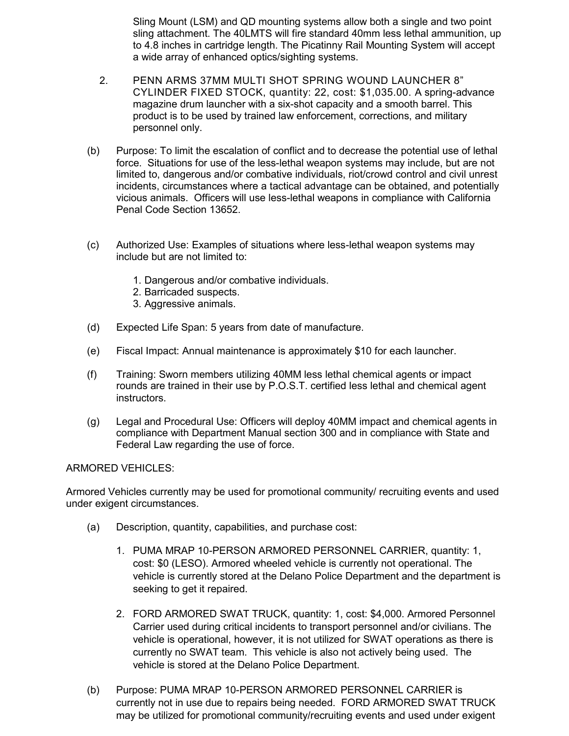Sling Mount (LSM) and QD mounting systems allow both a single and two point sling attachment. The 40LMTS will fire standard 40mm less lethal ammunition, up to 4.8 inches in cartridge length. The Picatinny Rail Mounting System will accept a wide array of enhanced optics/sighting systems.

- 2. PENN ARMS 37MM MULTI SHOT SPRING WOUND LAUNCHER 8" CYLINDER FIXED STOCK, quantity: 22, cost: \$1,035.00. A spring-advance magazine drum launcher with a six-shot capacity and a smooth barrel. This product is to be used by trained law enforcement, corrections, and military personnel only.
- (b) Purpose: To limit the escalation of conflict and to decrease the potential use of lethal force. Situations for use of the less-lethal weapon systems may include, but are not limited to, dangerous and/or combative individuals, riot/crowd control and civil unrest incidents, circumstances where a tactical advantage can be obtained, and potentially vicious animals. Officers will use less-lethal weapons in compliance with California Penal Code Section 13652.
- (c) Authorized Use: Examples of situations where less-lethal weapon systems may include but are not limited to:
	- 1. Dangerous and/or combative individuals.
	- 2. Barricaded suspects.
	- 3. Aggressive animals.
- (d) Expected Life Span: 5 years from date of manufacture.
- (e) Fiscal Impact: Annual maintenance is approximately \$10 for each launcher.
- (f) Training: Sworn members utilizing 40MM less lethal chemical agents or impact rounds are trained in their use by P.O.S.T. certified less lethal and chemical agent instructors.
- (g) Legal and Procedural Use: Officers will deploy 40MM impact and chemical agents in compliance with Department Manual section 300 and in compliance with State and Federal Law regarding the use of force.

#### ARMORED VEHICLES:

Armored Vehicles currently may be used for promotional community/ recruiting events and used under exigent circumstances.

- (a) Description, quantity, capabilities, and purchase cost:
	- 1. PUMA MRAP 10-PERSON ARMORED PERSONNEL CARRIER, quantity: 1, cost: \$0 (LESO). Armored wheeled vehicle is currently not operational. The vehicle is currently stored at the Delano Police Department and the department is seeking to get it repaired.
	- 2. FORD ARMORED SWAT TRUCK, quantity: 1, cost: \$4,000. Armored Personnel Carrier used during critical incidents to transport personnel and/or civilians. The vehicle is operational, however, it is not utilized for SWAT operations as there is currently no SWAT team. This vehicle is also not actively being used. The vehicle is stored at the Delano Police Department.
- (b) Purpose: PUMA MRAP 10-PERSON ARMORED PERSONNEL CARRIER is currently not in use due to repairs being needed. FORD ARMORED SWAT TRUCK may be utilized for promotional community/recruiting events and used under exigent